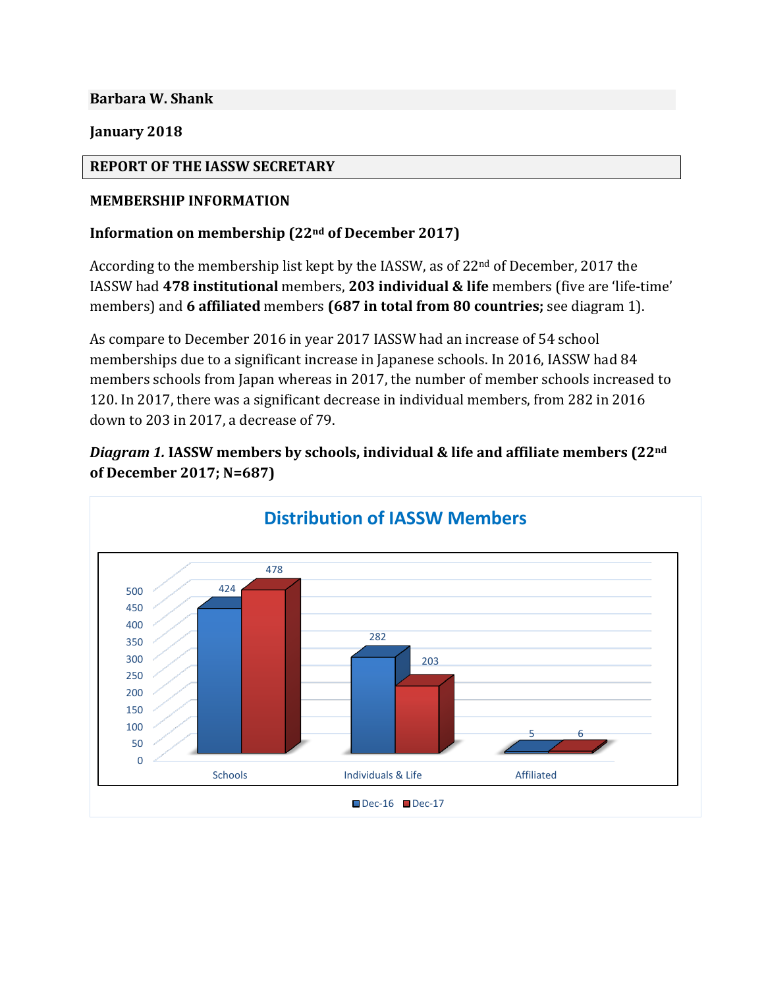**Barbara W. Shank**

**January 2018**

#### **REPORT OF THE IASSW SECRETARY**

#### **MEMBERSHIP INFORMATION**

#### **Information on membership (22nd of December 2017)**

According to the membership list kept by the IASSW, as of 22nd of December, 2017 the IASSW had **478 institutional** members, **203 individual & life** members (five are 'life-time' members) and **6 affiliated** members **(687 in total from 80 countries;** see diagram 1).

As compare to December 2016 in year 2017 IASSW had an increase of 54 school memberships due to a significant increase in Japanese schools. In 2016, IASSW had 84 members schools from Japan whereas in 2017, the number of member schools increased to 120. In 2017, there was a significant decrease in individual members, from 282 in 2016 down to 203 in 2017, a decrease of 79.

*Diagram 1.* **IASSW members by schools, individual & life and affiliate members (22nd of December 2017; N=687)**

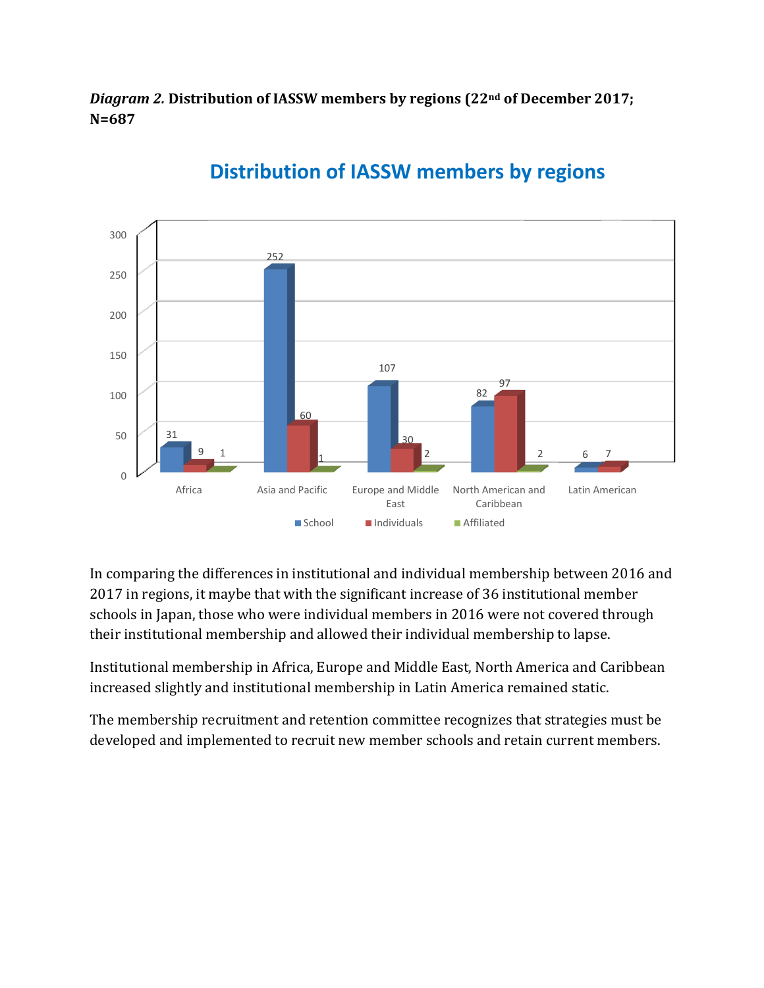*Diagram 2.* **Distribution of IASSW members by regions (22nd of December 2017; N=687**



# **Distribution of IASSW members by regions**

In comparing the differences in institutional and individual membership between 2016 and 2017 in regions, it maybe that with the significant increase of 36 institutional member schools in Japan, those who were individual members in 2016 were not covered through their institutional membership and allowed their individual membership to lapse.

Institutional membership in Africa, Europe and Middle East, North America and Caribbean increased slightly and institutional membership in Latin America remained static.

The membership recruitment and retention committee recognizes that strategies must be developed and implemented to recruit new member schools and retain current members.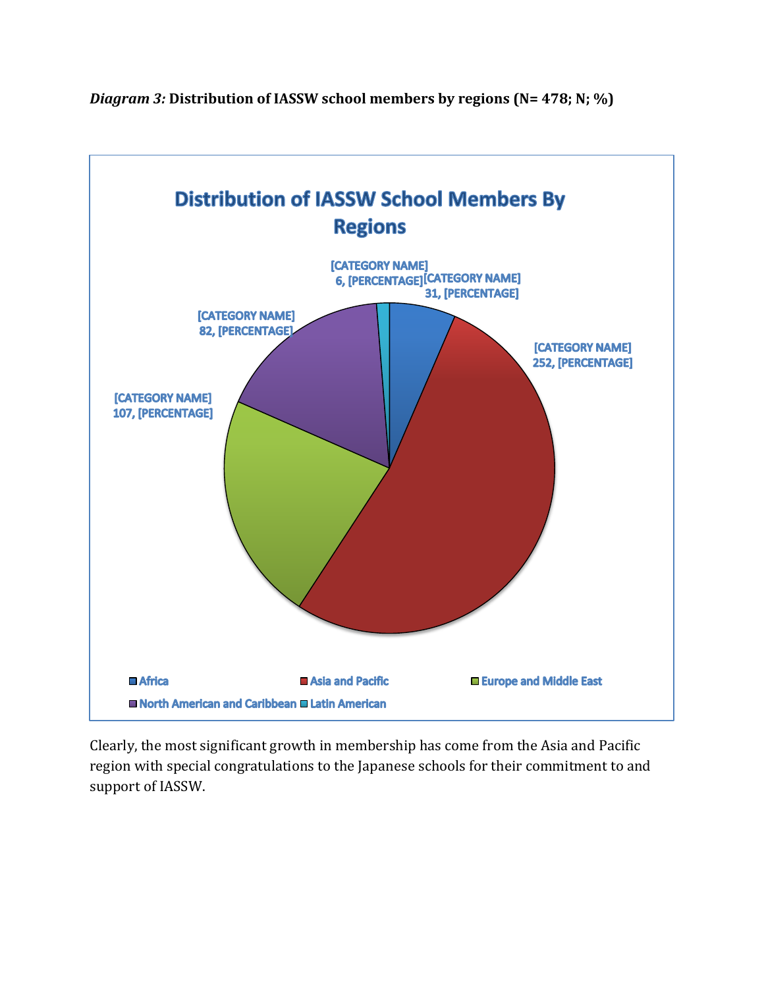

*Diagram 3:* **Distribution of IASSW school members by regions (N= 478; N; %)**

Clearly, the most significant growth in membership has come from the Asia and Pacific region with special congratulations to the Japanese schools for their commitment to and support of IASSW.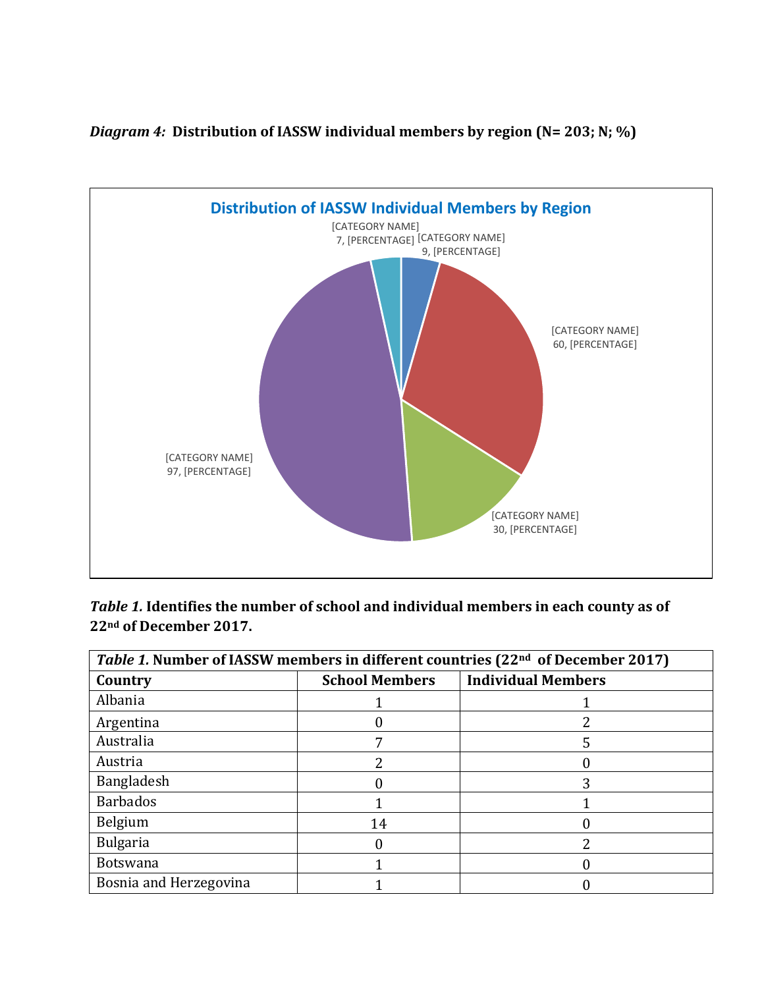

*Diagram 4:* **Distribution of IASSW individual members by region (N= 203; N; %)**

| Table 1. Identifies the number of school and individual members in each county as of |
|--------------------------------------------------------------------------------------|
| 22 <sup>nd</sup> of December 2017.                                                   |

| Table 1. Number of IASSW members in different countries (22 <sup>nd</sup> of December 2017) |                       |                           |  |  |
|---------------------------------------------------------------------------------------------|-----------------------|---------------------------|--|--|
| Country                                                                                     | <b>School Members</b> | <b>Individual Members</b> |  |  |
| Albania                                                                                     |                       |                           |  |  |
| Argentina                                                                                   |                       |                           |  |  |
| Australia                                                                                   |                       |                           |  |  |
| Austria                                                                                     |                       |                           |  |  |
| Bangladesh                                                                                  |                       |                           |  |  |
| <b>Barbados</b>                                                                             |                       |                           |  |  |
| Belgium                                                                                     | 14                    |                           |  |  |
| <b>Bulgaria</b>                                                                             |                       |                           |  |  |
| <b>Botswana</b>                                                                             |                       |                           |  |  |
| Bosnia and Herzegovina                                                                      |                       |                           |  |  |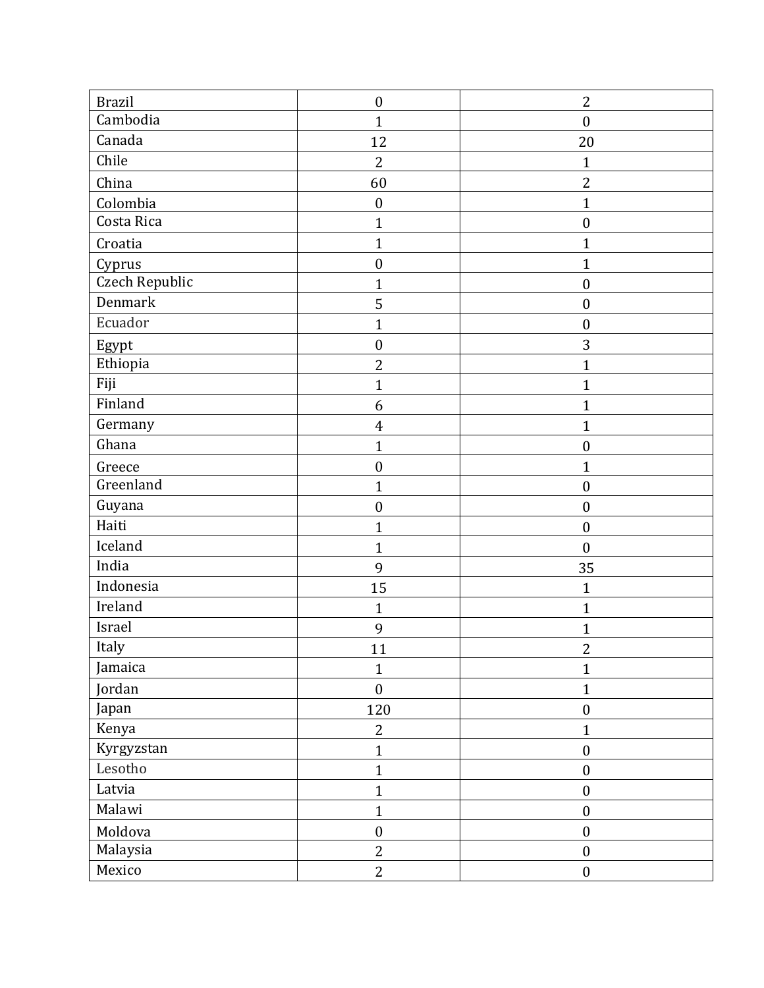| <b>Brazil</b>  | $\boldsymbol{0}$ | $\overline{2}$   |
|----------------|------------------|------------------|
| Cambodia       | $\mathbf{1}$     | $\boldsymbol{0}$ |
| Canada         | 12               | 20               |
| Chile          | $\overline{2}$   | $\mathbf{1}$     |
| China          | 60               | $\overline{2}$   |
| Colombia       | $\boldsymbol{0}$ | $\mathbf{1}$     |
| Costa Rica     | $\mathbf{1}$     | $\boldsymbol{0}$ |
| Croatia        | $\mathbf{1}$     | $\mathbf{1}$     |
| Cyprus         | $\boldsymbol{0}$ | $\mathbf{1}$     |
| Czech Republic | $\mathbf{1}$     | $\boldsymbol{0}$ |
| Denmark        | 5                | $\boldsymbol{0}$ |
| Ecuador        | $\mathbf{1}$     | $\boldsymbol{0}$ |
| Egypt          | $\boldsymbol{0}$ | 3                |
| Ethiopia       | $\overline{2}$   | $\mathbf{1}$     |
| Fiji           | $\mathbf{1}$     | $\mathbf{1}$     |
| Finland        | 6                | $\mathbf{1}$     |
| Germany        | $\overline{4}$   | $\mathbf{1}$     |
| Ghana          | $\mathbf{1}$     | $\boldsymbol{0}$ |
| Greece         | $\boldsymbol{0}$ | $\mathbf{1}$     |
| Greenland      | $\mathbf{1}$     | $\boldsymbol{0}$ |
| Guyana         | $\boldsymbol{0}$ | $\boldsymbol{0}$ |
| Haiti          | $\mathbf{1}$     | $\boldsymbol{0}$ |
| Iceland        | $\mathbf{1}$     | $\boldsymbol{0}$ |
| India          | 9                | 35               |
| Indonesia      | 15               | $\mathbf{1}$     |
| Ireland        | $\mathbf{1}$     | $\mathbf{1}$     |
| Israel         | 9                | $\mathbf{1}$     |
| Italy          | 11               | $\boldsymbol{2}$ |
| Jamaica        | $\mathbf{1}$     | $\mathbf{1}$     |
| Jordan         | $\boldsymbol{0}$ | $\mathbf{1}$     |
| Japan          | 120              | $\boldsymbol{0}$ |
| Kenya          | $\overline{2}$   | $\mathbf{1}$     |
| Kyrgyzstan     | $\mathbf{1}$     | $\boldsymbol{0}$ |
| Lesotho        | $\mathbf{1}$     | $\boldsymbol{0}$ |
| Latvia         | $\mathbf{1}$     | $\boldsymbol{0}$ |
| Malawi         | $\mathbf{1}$     | $\boldsymbol{0}$ |
| Moldova        | $\boldsymbol{0}$ | $\boldsymbol{0}$ |
| Malaysia       | $\overline{2}$   | $\boldsymbol{0}$ |
| Mexico         | $\overline{2}$   | $\boldsymbol{0}$ |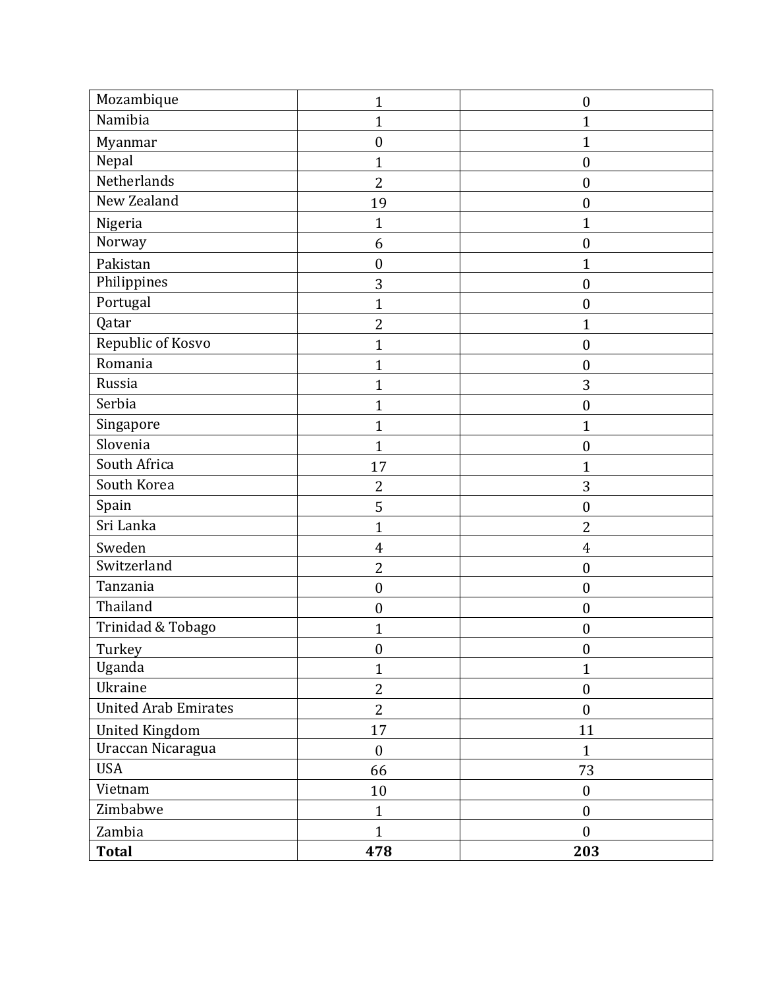| Mozambique                  | $\mathbf{1}$     | $\boldsymbol{0}$ |
|-----------------------------|------------------|------------------|
| Namibia                     | $\mathbf{1}$     | 1                |
| Myanmar                     | $\boldsymbol{0}$ | 1                |
| Nepal                       | $\mathbf{1}$     | $\boldsymbol{0}$ |
| Netherlands                 | $\overline{2}$   | $\boldsymbol{0}$ |
| New Zealand                 | 19               | $\boldsymbol{0}$ |
| Nigeria                     | $\mathbf{1}$     | $\overline{1}$   |
| Norway                      | 6                | $\boldsymbol{0}$ |
| Pakistan                    | $\boldsymbol{0}$ | 1                |
| Philippines                 | 3                | $\boldsymbol{0}$ |
| Portugal                    | $\mathbf{1}$     | $\boldsymbol{0}$ |
| Qatar                       | $\overline{2}$   | 1                |
| Republic of Kosvo           | $\mathbf{1}$     | $\boldsymbol{0}$ |
| Romania                     | $\mathbf{1}$     | $\boldsymbol{0}$ |
| Russia                      | $\mathbf{1}$     | 3                |
| Serbia                      | $\mathbf{1}$     | $\boldsymbol{0}$ |
| Singapore                   | $\mathbf{1}$     | $\overline{1}$   |
| Slovenia                    | $\mathbf{1}$     | $\boldsymbol{0}$ |
| South Africa                | 17               | $\overline{1}$   |
| South Korea                 | $\overline{2}$   | 3                |
| Spain                       | 5                | $\boldsymbol{0}$ |
| Sri Lanka                   | $\mathbf{1}$     | $\overline{2}$   |
| Sweden                      | $\overline{4}$   | 4                |
| Switzerland                 | $\overline{2}$   | $\boldsymbol{0}$ |
| Tanzania                    | $\boldsymbol{0}$ | $\boldsymbol{0}$ |
| Thailand                    | $\boldsymbol{0}$ | $\boldsymbol{0}$ |
| Trinidad & Tobago           | $\mathbf{1}$     | $\boldsymbol{0}$ |
| Turkey                      | $\boldsymbol{0}$ | $\boldsymbol{0}$ |
| Uganda                      | $\mathbf{1}$     | $\mathbf{1}$     |
| Ukraine                     | $\overline{2}$   | $\boldsymbol{0}$ |
| <b>United Arab Emirates</b> | $\overline{2}$   | $\boldsymbol{0}$ |
| <b>United Kingdom</b>       | 17               | 11               |
| Uraccan Nicaragua           | $\boldsymbol{0}$ | $\mathbf{1}$     |
| <b>USA</b>                  | 66               | 73               |
| Vietnam                     | $10\,$           | $\boldsymbol{0}$ |
| Zimbabwe                    | $\mathbf{1}$     | $\boldsymbol{0}$ |
| Zambia                      | $\mathbf{1}$     | $\boldsymbol{0}$ |
| <b>Total</b>                | 478              | 203              |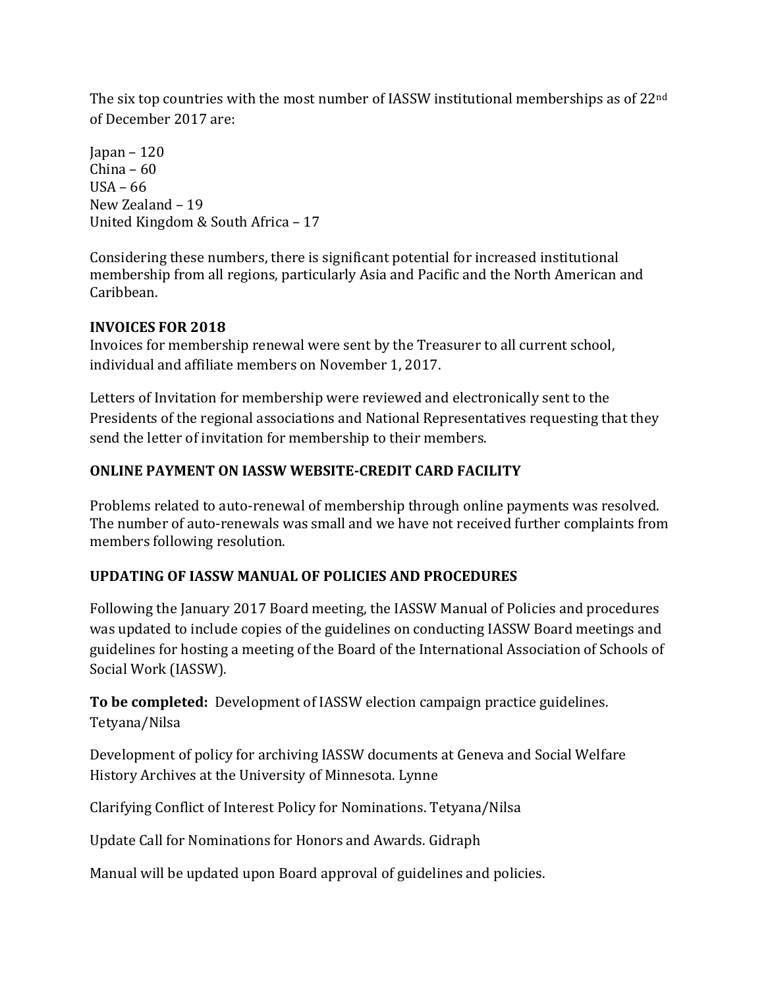The six top countries with the most number of IASSW institutional memberships as of 22nd of December 2017 are:

 $I$ apan – 120 China – 60 USA – 66 New Zealand – 19 United Kingdom & South Africa – 17

Considering these numbers, there is significant potential for increased institutional membership from all regions, particularly Asia and Pacific and the North American and Caribbean.

## **INVOICES FOR 2018**

Invoices for membership renewal were sent by the Treasurer to all current school, individual and affiliate members on November 1, 2017.

Letters of Invitation for membership were reviewed and electronically sent to the Presidents of the regional associations and National Representatives requesting that they send the letter of invitation for membership to their members.

## **ONLINE PAYMENT ON IASSW WEBSITE-CREDIT CARD FACILITY**

Problems related to auto-renewal of membership through online payments was resolved. The number of auto-renewals was small and we have not received further complaints from members following resolution.

## **UPDATING OF IASSW MANUAL OF POLICIES AND PROCEDURES**

Following the January 2017 Board meeting, the IASSW Manual of Policies and procedures was updated to include copies of the guidelines on conducting IASSW Board meetings and guidelines for hosting a meeting of the Board of the International Association of Schools of Social Work (IASSW).

**To be completed:** Development of IASSW election campaign practice guidelines. Tetyana/Nilsa

Development of policy for archiving IASSW documents at Geneva and Social Welfare History Archives at the University of Minnesota. Lynne

Clarifying Conflict of Interest Policy for Nominations. Tetyana/Nilsa

Update Call for Nominations for Honors and Awards. Gidraph

Manual will be updated upon Board approval of guidelines and policies.